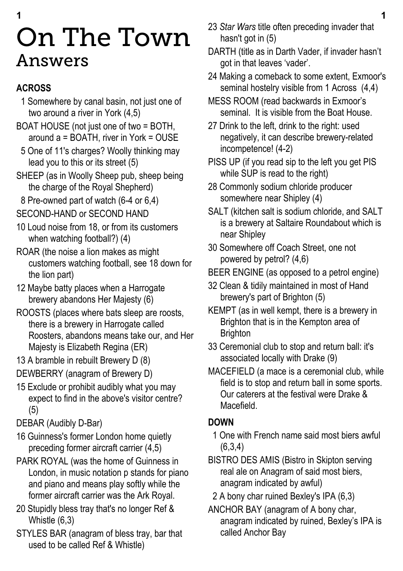# **1 1** On The Town Answers

### **ACROSS**

- 1 Somewhere by canal basin, not just one of two around a river in York (4,5)
- BOAT HOUSE (not just one of two = BOTH, around  $a = \overline{B}$  OATH, river in York = OUSE
- 5 One of 11's charges? Woolly thinking may lead you to this or its street (5)
- SHEEP (as in Woolly Sheep pub, sheep being the charge of the Royal Shepherd)
- 8 Pre-owned part of watch (6-4 or 6,4)
- SECOND-HAND or SECOND HAND
- 10 Loud noise from 18, or from its customers when watching football?) (4)
- ROAR (the noise a lion makes as might customers watching football, see 18 down for the lion part)
- 12 Maybe batty places when a Harrogate brewery abandons Her Majesty (6)
- ROOSTS (places where bats sleep are roosts, there is a brewery in Harrogate called Roosters, abandons means take our, and Her Majesty is Elizabeth Regina (ER)
- 13 A bramble in rebuilt Brewery D (8)
- DEWBERRY (anagram of Brewery D)
- 15 Exclude or prohibit audibly what you may expect to find in the above's visitor centre? (5)
- DEBAR (Audibly D-Bar)
- 16 Guinness's former London home quietly preceding former aircraft carrier (4,5)
- PARK ROYAL (was the home of Guinness in London, in music notation p stands for piano and piano and means play softly while the former aircraft carrier was the Ark Royal.
- 20 Stupidly bless tray that's no longer Ref & Whistle (6,3)
- STYLES BAR (anagram of bless tray, bar that used to be called Ref & Whistle)
- 23 *Star Wars* title often preceding invader that hasn't got in (5)
- DARTH (title as in Darth Vader, if invader hasn't got in that leaves 'vader'.
- 24 Making a comeback to some extent, Exmoor's seminal hostelry visible from 1 Across (4,4)
- MESS ROOM (read backwards in Exmoor's seminal. It is visible from the Boat House.
- 27 Drink to the left, drink to the right: used negatively, it can describe brewery-related incompetence! (4-2)
- PISS UP (if you read sip to the left you get PIS while SUP is read to the right)
- 28 Commonly sodium chloride producer somewhere near Shipley (4)
- SALT (kitchen salt is sodium chloride, and SALT is a brewery at Saltaire Roundabout which is near Shipley
- 30 Somewhere off Coach Street, one not powered by petrol? (4,6)
- BEER ENGINE (as opposed to a petrol engine)
- 32 Clean & tidily maintained in most of Hand brewery's part of Brighton (5)
- KEMPT (as in well kempt, there is a brewery in Brighton that is in the Kempton area of **Brighton**
- 33 Ceremonial club to stop and return ball: it's associated locally with Drake (9)
- MACEFIELD (a mace is a ceremonial club, while field is to stop and return ball in some sports. Our caterers at the festival were Drake & Macefield.

### **DOWN**

- 1 One with French name said most biers awful (6,3,4)
- BISTRO DES AMIS (Bistro in Skipton serving real ale on Anagram of said most biers, anagram indicated by awful)
- 2 A bony char ruined Bexley's IPA (6,3)
- ANCHOR BAY (anagram of A bony char, anagram indicated by ruined, Bexley's IPA is called Anchor Bay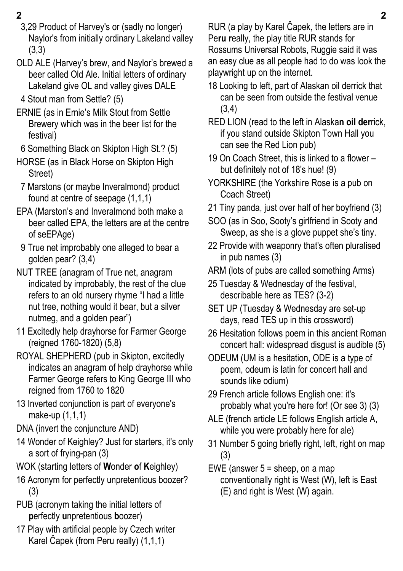- 
- 3,29 Product of Harvey's or (sadly no longer) Naylor's from initially ordinary Lakeland valley (3,3)
- OLD ALE (Harvey's brew, and Naylor's brewed a beer called Old Ale. Initial letters of ordinary Lakeland give OL and valley gives DALE
- 4 Stout man from Settle? (5)
- ERNIE (as in Ernie's Milk Stout from Settle Brewery which was in the beer list for the festival)
- 6 Something Black on Skipton High St.? (5)
- HORSE (as in Black Horse on Skipton High Street)
- 7 Marstons (or maybe Inveralmond) product found at centre of seepage (1,1,1)
- EPA (Marston's and Inveralmond both make a beer called EPA, the letters are at the centre of seEPAge)
- 9 True net improbably one alleged to bear a golden pear? (3,4)
- NUT TREE (anagram of True net, anagram indicated by improbably, the rest of the clue refers to an old nursery rhyme "I had a little nut tree, nothing would it bear, but a silver nutmeg, and a golden pear")
- 11 Excitedly help drayhorse for Farmer George (reigned 1760-1820) (5,8)
- ROYAL SHEPHERD (pub in Skipton, excitedly indicates an anagram of help drayhorse while Farmer George refers to King George III who reigned from 1760 to 1820
- 13 Inverted conjunction is part of everyone's make-up (1,1,1)
- DNA (invert the conjuncture AND)
- 14 Wonder of Keighley? Just for starters, it's only a sort of frying-pan (3)
- WOK (starting letters of **W**onder **o**f **K**eighley)
- 16 Acronym for perfectly unpretentious boozer? (3)
- PUB (acronym taking the initial letters of **p**erfectly **u**npretentious **b**oozer)
- 17 Play with artificial people by Czech writer Karel Čapek (from Peru really) (1,1,1)

**2 2** RUR (a play by Karel Čapek, the letters are in Pe**ru r**eally, the play title RUR stands for Rossums Universal Robots, Ruggie said it was an easy clue as all people had to do was look the playwright up on the internet.

- 18 Looking to left, part of Alaskan oil derrick that can be seen from outside the festival venue (3,4)
- RED LION (read to the left in Alaska**n oil der**rick, if you stand outside Skipton Town Hall you can see the Red Lion pub)
- 19 On Coach Street, this is linked to a flower but definitely not of 18's hue! (9)
- YORKSHIRE (the Yorkshire Rose is a pub on Coach Street)
- 21 Tiny panda, just over half of her boyfriend (3)
- SOO (as in Soo, Sooty's girlfriend in Sooty and Sweep, as she is a glove puppet she's tiny.
- 22 Provide with weaponry that's often pluralised in pub names (3)
- ARM (lots of pubs are called something Arms)
- 25 Tuesday & Wednesday of the festival, describable here as TES? (3-2)
- SET UP (Tuesday & Wednesday are set-up days, read TES up in this crossword)
- 26 Hesitation follows poem in this ancient Roman concert hall: widespread disgust is audible (5)
- ODEUM (UM is a hesitation, ODE is a type of poem, odeum is latin for concert hall and sounds like odium)
- 29 French article follows English one: it's probably what you're here for! (Or see 3) (3)
- ALE (french article LE follows English article A, while you were probably here for ale)
- 31 Number 5 going briefly right, left, right on map (3)
- EWE (answer 5 = sheep, on a map conventionally right is West (W), left is East (E) and right is West (W) again.